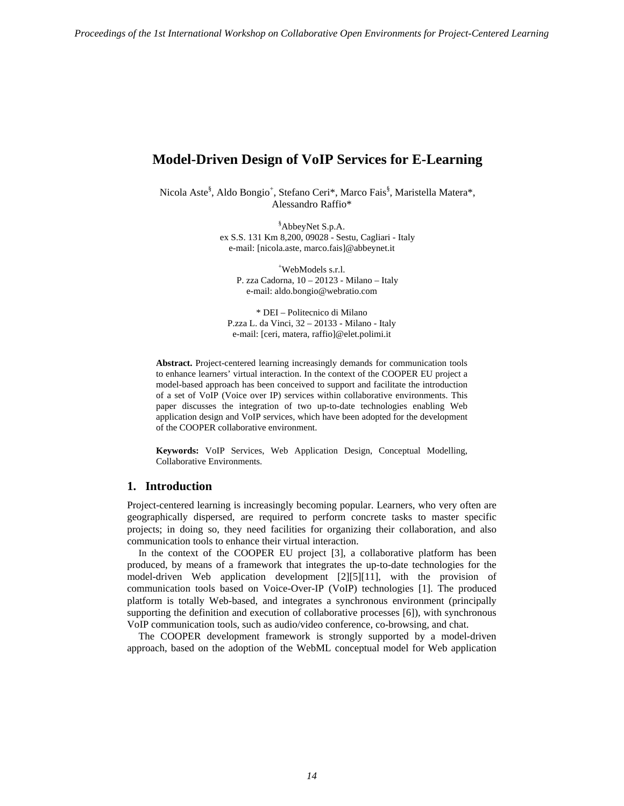# **Model-Driven Design of VoIP Services for E-Learning**

Nicola Aste<sup>§</sup>, Aldo Bongio<sup>+</sup>, Stefano Ceri\*, Marco Fais<sup>§</sup>, Maristella Matera\*, Alessandro Raffio\*

> § AbbeyNet S.p.A. ex S.S. 131 Km 8,200, 09028 - Sestu, Cagliari - Italy e-mail: [nicola.aste, marco.fais]@abbeynet.it

+ WebModels s.r.l. P. zza Cadorna, 10 – 20123 - Milano – Italy e-mail: aldo.bongio@webratio.com

\* DEI – Politecnico di Milano P.zza L. da Vinci, 32 – 20133 - Milano - Italy e-mail: [ceri, matera, raffio]@elet.polimi.it

**Abstract.** Project-centered learning increasingly demands for communication tools to enhance learners' virtual interaction. In the context of the COOPER EU project a model-based approach has been conceived to support and facilitate the introduction of a set of VoIP (Voice over IP) services within collaborative environments. This paper discusses the integration of two up-to-date technologies enabling Web application design and VoIP services, which have been adopted for the development of the COOPER collaborative environment.

**Keywords:** VoIP Services, Web Application Design, Conceptual Modelling, Collaborative Environments.

#### **1. Introduction**

Project-centered learning is increasingly becoming popular. Learners, who very often are geographically dispersed, are required to perform concrete tasks to master specific projects; in doing so, they need facilities for organizing their collaboration, and also communication tools to enhance their virtual interaction.

In the context of the COOPER EU project [3], a collaborative platform has been produced, by means of a framework that integrates the up-to-date technologies for the model-driven Web application development [2][5][11], with the provision of communication tools based on Voice-Over-IP (VoIP) technologies [1]. The produced platform is totally Web-based, and integrates a synchronous environment (principally supporting the definition and execution of collaborative processes [6]), with synchronous VoIP communication tools, such as audio/video conference, co-browsing, and chat.

The COOPER development framework is strongly supported by a model-driven approach, based on the adoption of the WebML conceptual model for Web application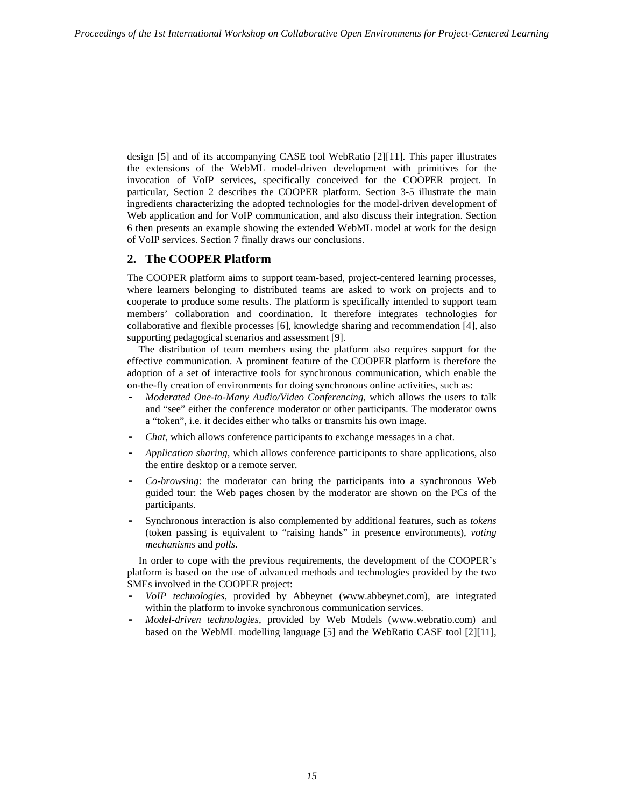design [5] and of its accompanying CASE tool WebRatio [2][11]. This paper illustrates the extensions of the WebML model-driven development with primitives for the invocation of VoIP services, specifically conceived for the COOPER project. In particular, Section 2 describes the COOPER platform. Section 3-5 illustrate the main ingredients characterizing the adopted technologies for the model-driven development of Web application and for VoIP communication, and also discuss their integration. Section 6 then presents an example showing the extended WebML model at work for the design of VoIP services. Section 7 finally draws our conclusions.

## **2. The COOPER Platform**

The COOPER platform aims to support team-based, project-centered learning processes, where learners belonging to distributed teams are asked to work on projects and to cooperate to produce some results. The platform is specifically intended to support team members' collaboration and coordination. It therefore integrates technologies for collaborative and flexible processes [6], knowledge sharing and recommendation [4], also supporting pedagogical scenarios and assessment [9].

The distribution of team members using the platform also requires support for the effective communication. A prominent feature of the COOPER platform is therefore the adoption of a set of interactive tools for synchronous communication, which enable the on-the-fly creation of environments for doing synchronous online activities, such as:

- **-** *Moderated One-to-Many Audio/Video Conferencing*, which allows the users to talk and "see" either the conference moderator or other participants. The moderator owns a "token", i.e. it decides either who talks or transmits his own image.
- **-** *Chat*, which allows conference participants to exchange messages in a chat.
- **-** *Application sharing*, which allows conference participants to share applications, also the entire desktop or a remote server.
- **-** *Co-browsing*: the moderator can bring the participants into a synchronous Web guided tour: the Web pages chosen by the moderator are shown on the PCs of the participants.
- **-** Synchronous interaction is also complemented by additional features, such as *tokens*  (token passing is equivalent to "raising hands" in presence environments), *voting mechanisms* and *polls*.

In order to cope with the previous requirements, the development of the COOPER's platform is based on the use of advanced methods and technologies provided by the two SMEs involved in the COOPER project:

- **-** *VoIP technologies,* provided by Abbeynet (www.abbeynet.com), are integrated within the platform to invoke synchronous communication services.
- **-** *Model-driven technologies*, provided by Web Models (www.webratio.com) and based on the WebML modelling language [5] and the WebRatio CASE tool [2][11],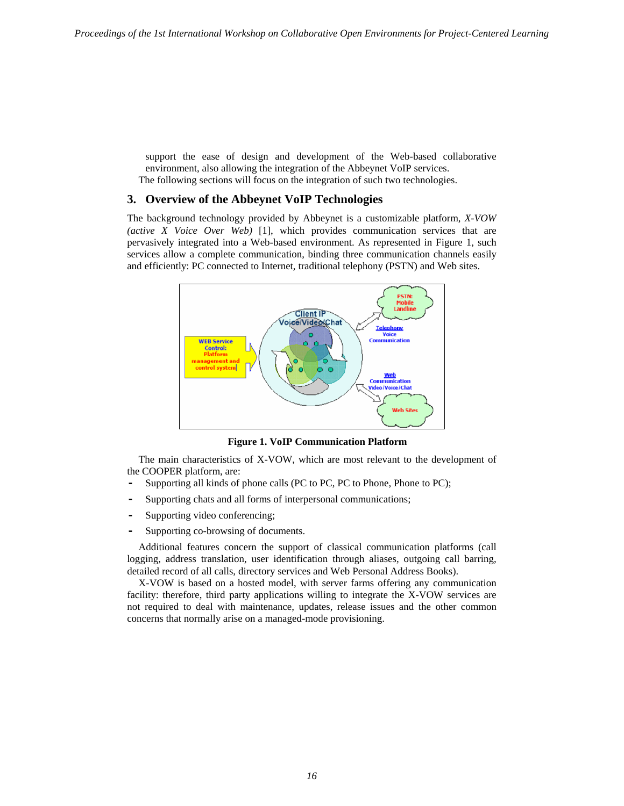support the ease of design and development of the Web-based collaborative environment, also allowing the integration of the Abbeynet VoIP services. The following sections will focus on the integration of such two technologies.

# **3. Overview of the Abbeynet VoIP Technologies**

The background technology provided by Abbeynet is a customizable platform, *X-VOW (active X Voice Over Web)* [1], which provides communication services that are pervasively integrated into a Web-based environment. As represented in Figure 1, such services allow a complete communication, binding three communication channels easily and efficiently: PC connected to Internet, traditional telephony (PSTN) and Web sites.



**Figure 1. VoIP Communication Platform** 

The main characteristics of X-VOW, which are most relevant to the development of the COOPER platform, are:

- **-** Supporting all kinds of phone calls (PC to PC, PC to Phone, Phone to PC);
- **-** Supporting chats and all forms of interpersonal communications;
- **-** Supporting video conferencing;
- **-** Supporting co-browsing of documents.

Additional features concern the support of classical communication platforms (call logging, address translation, user identification through aliases, outgoing call barring, detailed record of all calls, directory services and Web Personal Address Books).

X-VOW is based on a hosted model, with server farms offering any communication facility: therefore, third party applications willing to integrate the X-VOW services are not required to deal with maintenance, updates, release issues and the other common concerns that normally arise on a managed-mode provisioning.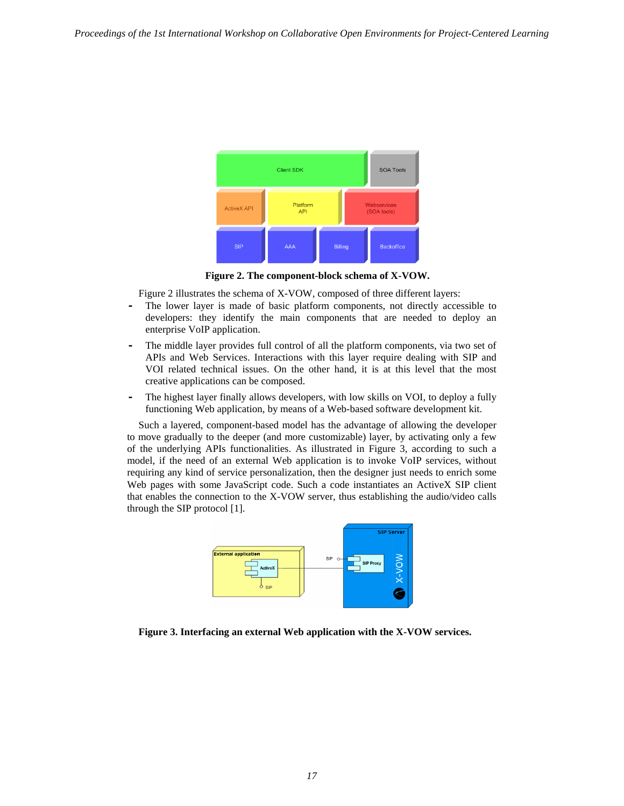

**Figure 2. The component-block schema of X-VOW.** 

Figure 2 illustrates the schema of X-VOW, composed of three different layers:

- **-** The lower layer is made of basic platform components, not directly accessible to developers: they identify the main components that are needed to deploy an enterprise VoIP application.
- **-** The middle layer provides full control of all the platform components, via two set of APIs and Web Services. Interactions with this layer require dealing with SIP and VOI related technical issues. On the other hand, it is at this level that the most creative applications can be composed.
- The highest layer finally allows developers, with low skills on VOI, to deploy a fully functioning Web application, by means of a Web-based software development kit.

Such a layered, component-based model has the advantage of allowing the developer to move gradually to the deeper (and more customizable) layer, by activating only a few of the underlying APIs functionalities. As illustrated in Figure 3, according to such a model, if the need of an external Web application is to invoke VoIP services, without requiring any kind of service personalization, then the designer just needs to enrich some Web pages with some JavaScript code. Such a code instantiates an ActiveX SIP client that enables the connection to the X-VOW server, thus establishing the audio/video calls through the SIP protocol [1].



**Figure 3. Interfacing an external Web application with the X-VOW services.**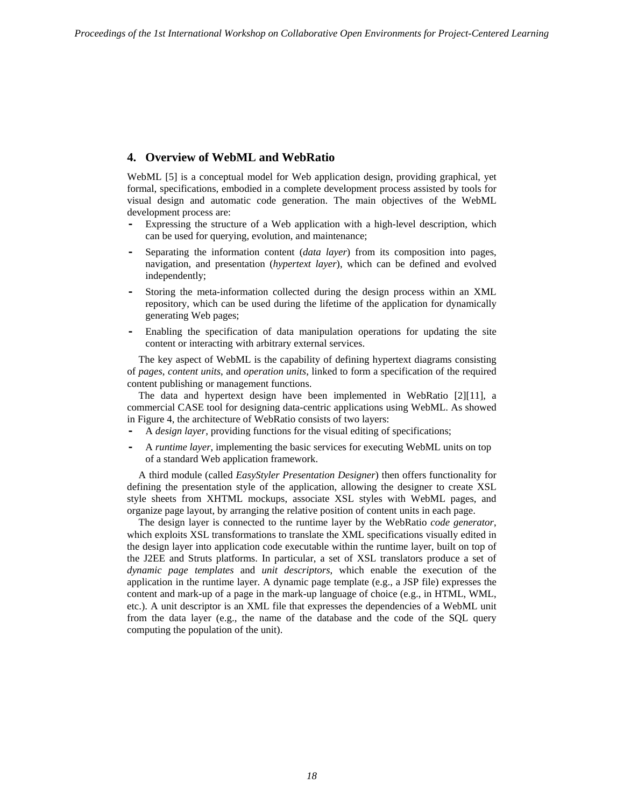# **4. Overview of WebML and WebRatio**

WebML [5] is a conceptual model for Web application design, providing graphical, yet formal, specifications, embodied in a complete development process assisted by tools for visual design and automatic code generation. The main objectives of the WebML development process are:

- **-** Expressing the structure of a Web application with a high-level description, which can be used for querying, evolution, and maintenance;
- **-** Separating the information content (*data layer*) from its composition into pages, navigation, and presentation (*hypertext layer*), which can be defined and evolved independently;
- **-** Storing the meta-information collected during the design process within an XML repository, which can be used during the lifetime of the application for dynamically generating Web pages;
- **-** Enabling the specification of data manipulation operations for updating the site content or interacting with arbitrary external services.

The key aspect of WebML is the capability of defining hypertext diagrams consisting of *pages*, *content units*, and *operation units*, linked to form a specification of the required content publishing or management functions.

The data and hypertext design have been implemented in WebRatio [2][11], a commercial CASE tool for designing data-centric applications using WebML. As showed in Figure 4, the architecture of WebRatio consists of two layers:

- **-** A *design layer*, providing functions for the visual editing of specifications;
- **-** A *runtime layer*, implementing the basic services for executing WebML units on top of a standard Web application framework.

A third module (called *EasyStyler Presentation Designer*) then offers functionality for defining the presentation style of the application, allowing the designer to create XSL style sheets from XHTML mockups, associate XSL styles with WebML pages, and organize page layout, by arranging the relative position of content units in each page.

The design layer is connected to the runtime layer by the WebRatio *code generator*, which exploits XSL transformations to translate the XML specifications visually edited in the design layer into application code executable within the runtime layer, built on top of the J2EE and Struts platforms. In particular, a set of XSL translators produce a set of *dynamic page templates* and *unit descriptors*, which enable the execution of the application in the runtime layer. A dynamic page template (e.g., a JSP file) expresses the content and mark-up of a page in the mark-up language of choice (e.g., in HTML, WML, etc.). A unit descriptor is an XML file that expresses the dependencies of a WebML unit from the data layer (e.g., the name of the database and the code of the SQL query computing the population of the unit).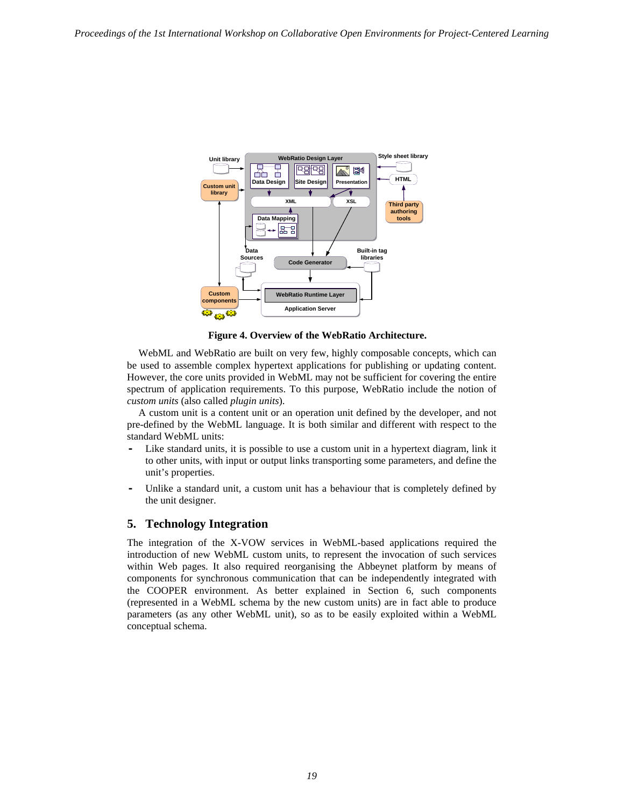

**Figure 4. Overview of the WebRatio Architecture.** 

WebML and WebRatio are built on very few, highly composable concepts, which can be used to assemble complex hypertext applications for publishing or updating content. However, the core units provided in WebML may not be sufficient for covering the entire spectrum of application requirements. To this purpose, WebRatio include the notion of *custom units* (also called *plugin units*).

A custom unit is a content unit or an operation unit defined by the developer, and not pre-defined by the WebML language. It is both similar and different with respect to the standard WebML units:

- Like standard units, it is possible to use a custom unit in a hypertext diagram, link it to other units, with input or output links transporting some parameters, and define the unit's properties.
- **-** Unlike a standard unit, a custom unit has a behaviour that is completely defined by the unit designer.

## **5. Technology Integration**

The integration of the X-VOW services in WebML-based applications required the introduction of new WebML custom units, to represent the invocation of such services within Web pages. It also required reorganising the Abbeynet platform by means of components for synchronous communication that can be independently integrated with the COOPER environment. As better explained in Section 6, such components (represented in a WebML schema by the new custom units) are in fact able to produce parameters (as any other WebML unit), so as to be easily exploited within a WebML conceptual schema.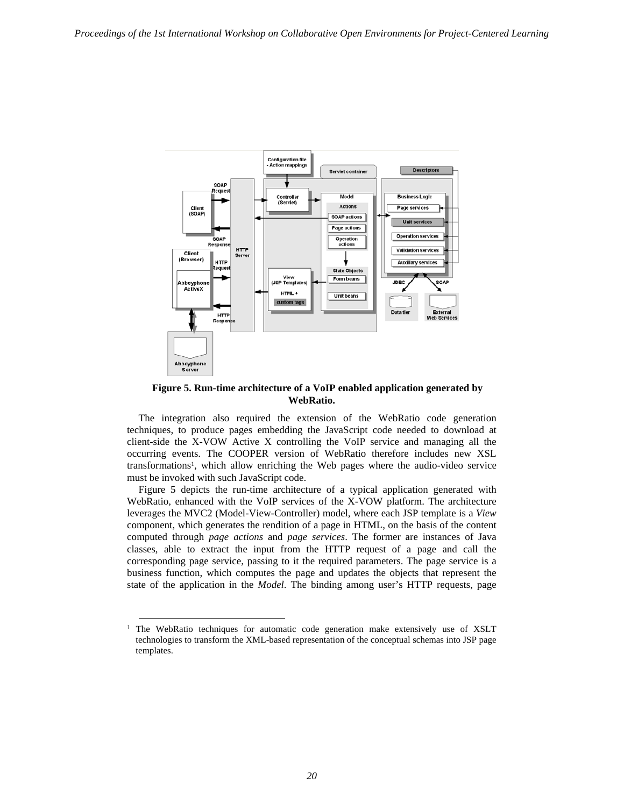

**Figure 5. Run-time architecture of a VoIP enabled application generated by WebRatio.** 

The integration also required the extension of the WebRatio code generation techniques, to produce pages embedding the JavaScript code needed to download at client-side the X-VOW Active X controlling the VoIP service and managing all the occurring events. The COOPER version of WebRatio therefore includes new XSL transformations1, which allow enriching the Web pages where the audio-video service must be invoked with such JavaScript code.

Figure 5 depicts the run-time architecture of a typical application generated with WebRatio, enhanced with the VoIP services of the X-VOW platform. The architecture leverages the MVC2 (Model-View-Controller) model, where each JSP template is a *View* component, which generates the rendition of a page in HTML, on the basis of the content computed through *page actions* and *page services*. The former are instances of Java classes, able to extract the input from the HTTP request of a page and call the corresponding page service, passing to it the required parameters. The page service is a business function, which computes the page and updates the objects that represent the state of the application in the *Model*. The binding among user's HTTP requests, page

 $1$  The WebRatio techniques for automatic code generation make extensively use of XSLT technologies to transform the XML-based representation of the conceptual schemas into JSP page templates.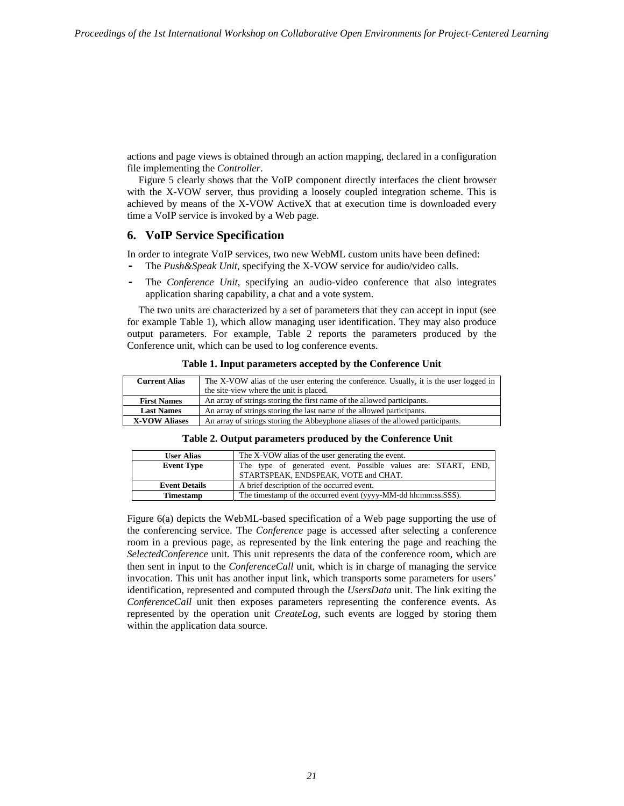actions and page views is obtained through an action mapping, declared in a configuration file implementing the *Controller*.

Figure 5 clearly shows that the VoIP component directly interfaces the client browser with the X-VOW server, thus providing a loosely coupled integration scheme. This is achieved by means of the X-VOW ActiveX that at execution time is downloaded every time a VoIP service is invoked by a Web page.

## **6. VoIP Service Specification**

In order to integrate VoIP services, two new WebML custom units have been defined: **-** The *Push&Speak Unit*, specifying the X-VOW service for audio/video calls.

**-** The *Conference Unit*, specifying an audio-video conference that also integrates application sharing capability, a chat and a vote system.

The two units are characterized by a set of parameters that they can accept in input (see for example Table 1), which allow managing user identification. They may also produce output parameters. For example, Table 2 reports the parameters produced by the Conference unit, which can be used to log conference events.

| <b>Current Alias</b> | The X-VOW alias of the user entering the conference. Usually, it is the user logged in |
|----------------------|----------------------------------------------------------------------------------------|
|                      | the site-view where the unit is placed.                                                |
| <b>First Names</b>   | An array of strings storing the first name of the allowed participants.                |
| <b>Last Names</b>    | An array of strings storing the last name of the allowed participants.                 |
| <b>X-VOW Aliases</b> | An array of strings storing the Abbeyphone aliases of the allowed participants.        |

**Table 1. Input parameters accepted by the Conference Unit**

| <b>User Alias</b>    | The X-VOW alias of the user generating the event.              |
|----------------------|----------------------------------------------------------------|
| <b>Event Type</b>    | The type of generated event. Possible values are: START, END,  |
|                      | STARTSPEAK, ENDSPEAK, VOTE and CHAT.                           |
| <b>Event Details</b> | A brief description of the occurred event.                     |
| <b>Timestamp</b>     | The timestamp of the occurred event (yyyy-MM-dd hh:mm:ss.SSS). |

Figure 6(a) depicts the WebML-based specification of a Web page supporting the use of the conferencing service. The *Conference* page is accessed after selecting a conference room in a previous page, as represented by the link entering the page and reaching the *SelectedConference* unit*.* This unit represents the data of the conference room, which are then sent in input to the *ConferenceCall* unit, which is in charge of managing the service invocation. This unit has another input link, which transports some parameters for users' identification, represented and computed through the *UsersData* unit. The link exiting the *ConferenceCall* unit then exposes parameters representing the conference events. As represented by the operation unit *CreateLog*, such events are logged by storing them within the application data source.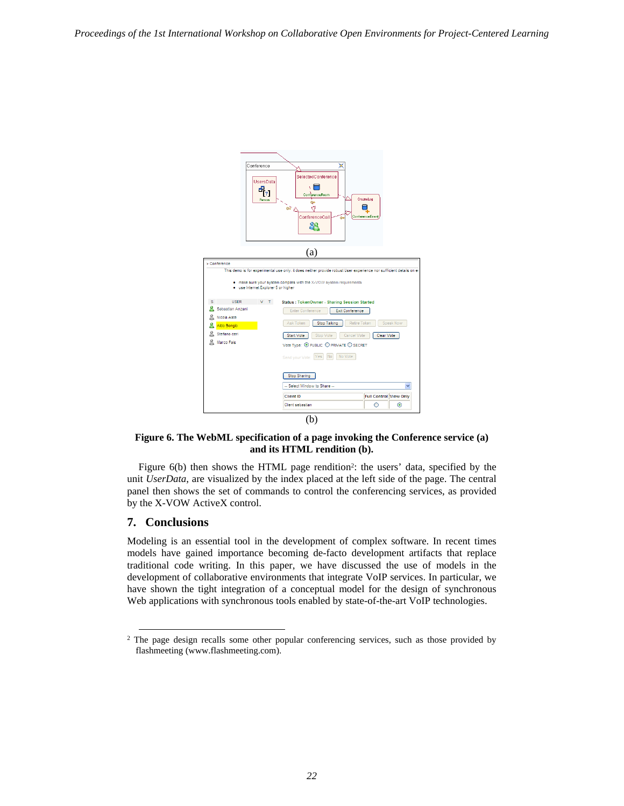

**Figure 6. The WebML specification of a page invoking the Conference service (a) and its HTML rendition (b).** 

Figure 6(b) then shows the HTML page rendition<sup>2</sup>: the users' data, specified by the unit *UserData*, are visualized by the index placed at the left side of the page. The central panel then shows the set of commands to control the conferencing services, as provided by the X-VOW ActiveX control.

# **7. Conclusions**

Modeling is an essential tool in the development of complex software. In recent times models have gained importance becoming de-facto development artifacts that replace traditional code writing. In this paper, we have discussed the use of models in the development of collaborative environments that integrate VoIP services. In particular, we have shown the tight integration of a conceptual model for the design of synchronous Web applications with synchronous tools enabled by state-of-the-art VoIP technologies.

<sup>&</sup>lt;sup>2</sup> The page design recalls some other popular conferencing services, such as those provided by flashmeeting (www.flashmeeting.com).